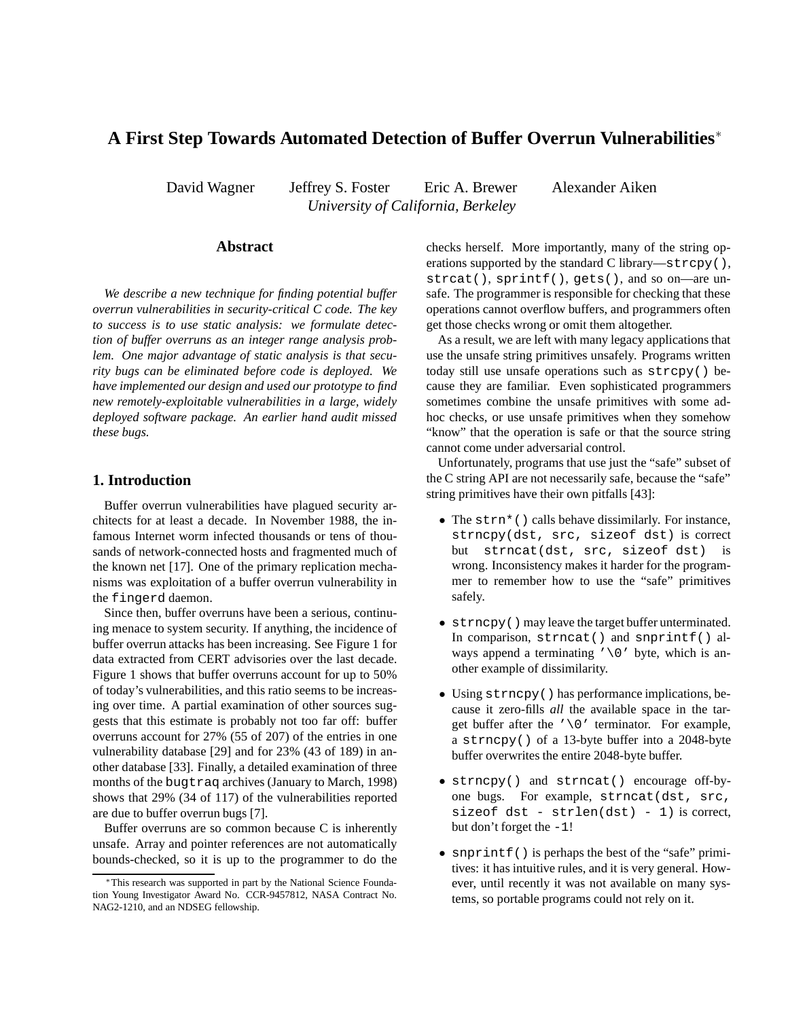# **A First Step Towards Automated Detection of Buffer Overrun Vulnerabilities**<sup>∗</sup>

David Wagner Jeffrey S. Foster Eric A. Brewer Alexander Aiken *University of California, Berkeley*

# **Abstract**

*We describe a new technique for finding potential buffer overrun vulnerabilities in security-critical C code. The key to success is to use static analysis: we formulate detection of buffer overruns as an integer range analysis problem. One major advantage of static analysis is that security bugs can be eliminated before code is deployed. We have implemented our design and used our prototype to find new remotely-exploitable vulnerabilities in a large, widely deployed software package. An earlier hand audit missed these bugs.*

# **1. Introduction**

Buffer overrun vulnerabilities have plagued security architects for at least a decade. In November 1988, the infamous Internet worm infected thousands or tens of thousands of network-connected hosts and fragmented much of the known net [17]. One of the primary replication mechanisms was exploitation of a buffer overrun vulnerability in the fingerd daemon.

Since then, buffer overruns have been a serious, continuing menace to system security. If anything, the incidence of buffer overrun attacks has been increasing. See Figure 1 for data extracted from CERT advisories over the last decade. Figure 1 shows that buffer overruns account for up to 50% of today's vulnerabilities, and this ratio seems to be increasing over time. A partial examination of other sources suggests that this estimate is probably not too far off: buffer overruns account for 27% (55 of 207) of the entries in one vulnerability database [29] and for 23% (43 of 189) in another database [33]. Finally, a detailed examination of three months of the bugtraq archives (January to March, 1998) shows that 29% (34 of 117) of the vulnerabilities reported are due to buffer overrun bugs [7].

Buffer overruns are so common because C is inherently unsafe. Array and pointer references are not automatically bounds-checked, so it is up to the programmer to do the checks herself. More importantly, many of the string operations supported by the standard C library—strcpy(), strcat(), sprintf(), gets(), and so on—are unsafe. The programmer is responsible for checking that these operations cannot overflow buffers, and programmers often get those checks wrong or omit them altogether.

As a result, we are left with many legacy applications that use the unsafe string primitives unsafely. Programs written today still use unsafe operations such as strcpy() because they are familiar. Even sophisticated programmers sometimes combine the unsafe primitives with some adhoc checks, or use unsafe primitives when they somehow "know" that the operation is safe or that the source string cannot come under adversarial control.

Unfortunately, programs that use just the "safe" subset of the C string API are not necessarily safe, because the "safe" string primitives have their own pitfalls [43]:

- The strn\*() calls behave dissimilarly. For instance, strncpy(dst, src, sizeof dst) is correct but strncat(dst, src, sizeof dst) is wrong. Inconsistency makes it harder for the programmer to remember how to use the "safe" primitives safely.
- strncpy() may leave the target buffer unterminated. In comparison, strncat() and snprintf() always append a terminating  $\prime \setminus 0'$  byte, which is another example of dissimilarity.
- Using strncpy() has performance implications, because it zero-fills *all* the available space in the target buffer after the  $\prime \setminus 0$  ' terminator. For example, a strncpy() of a 13-byte buffer into a 2048-byte buffer overwrites the entire 2048-byte buffer.
- strncpy() and strncat() encourage off-byone bugs. For example, strncat(dst, src, sizeof  $dst - strlen(dst) - 1$ ) is correct, but don't forget the -1!
- snprintf() is perhaps the best of the "safe" primitives: it has intuitive rules, and it is very general. However, until recently it was not available on many systems, so portable programs could not rely on it.

<sup>∗</sup>This research was supported in part by the National Science Foundation Young Investigator Award No. CCR-9457812, NASA Contract No. NAG2-1210, and an NDSEG fellowship.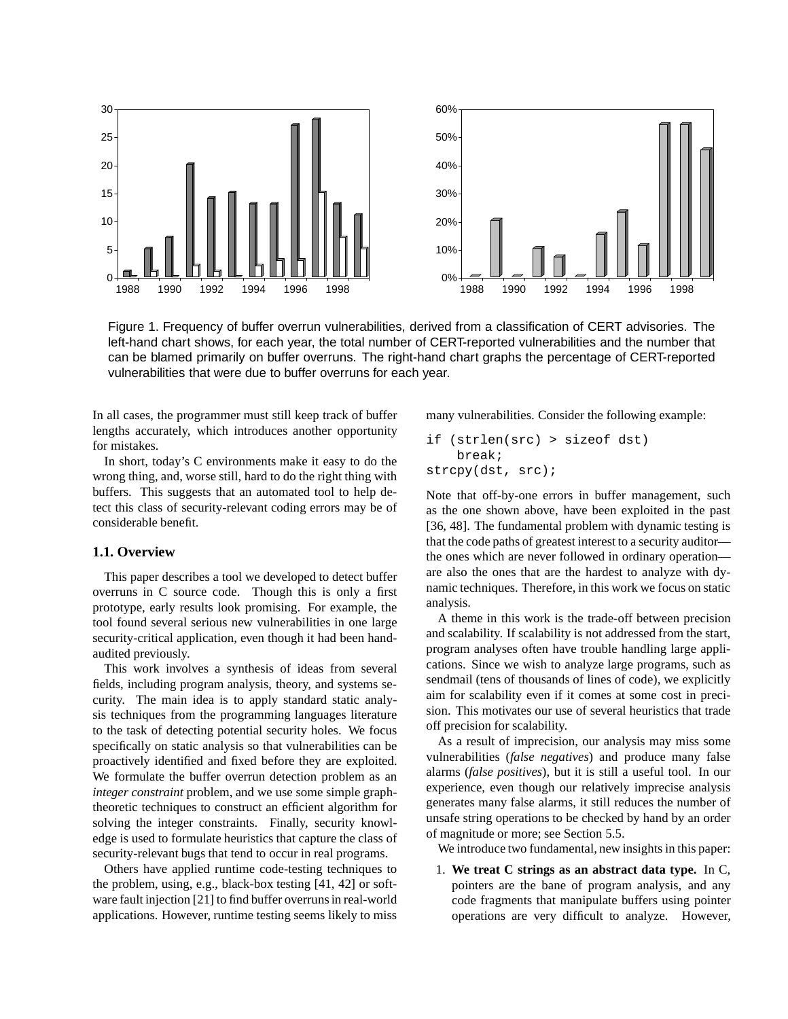

Figure 1. Frequency of buffer overrun vulnerabilities, derived from a classification of CERT advisories. The left-hand chart shows, for each year, the total number of CERT-reported vulnerabilities and the number that can be blamed primarily on buffer overruns. The right-hand chart graphs the percentage of CERT-reported vulnerabilities that were due to buffer overruns for each year.

In all cases, the programmer must still keep track of buffer lengths accurately, which introduces another opportunity for mistakes.

In short, today's C environments make it easy to do the wrong thing, and, worse still, hard to do the right thing with buffers. This suggests that an automated tool to help detect this class of security-relevant coding errors may be of considerable benefit.

#### **1.1. Overview**

This paper describes a tool we developed to detect buffer overruns in C source code. Though this is only a first prototype, early results look promising. For example, the tool found several serious new vulnerabilities in one large security-critical application, even though it had been handaudited previously.

This work involves a synthesis of ideas from several fields, including program analysis, theory, and systems security. The main idea is to apply standard static analysis techniques from the programming languages literature to the task of detecting potential security holes. We focus specifically on static analysis so that vulnerabilities can be proactively identified and fixed before they are exploited. We formulate the buffer overrun detection problem as an *integer constraint* problem, and we use some simple graphtheoretic techniques to construct an efficient algorithm for solving the integer constraints. Finally, security knowledge is used to formulate heuristics that capture the class of security-relevant bugs that tend to occur in real programs.

Others have applied runtime code-testing techniques to the problem, using, e.g., black-box testing [41, 42] or software fault injection [21] to find buffer overruns in real-world applications. However, runtime testing seems likely to miss many vulnerabilities. Consider the following example:

```
if (strlen(src) > sizeof dst)
    break;
strcpy(dst, src);
```
Note that off-by-one errors in buffer management, such as the one shown above, have been exploited in the past [36, 48]. The fundamental problem with dynamic testing is that the code paths of greatest interest to a security auditor the ones which are never followed in ordinary operation are also the ones that are the hardest to analyze with dynamic techniques. Therefore, in this work we focus on static analysis.

A theme in this work is the trade-off between precision and scalability. If scalability is not addressed from the start, program analyses often have trouble handling large applications. Since we wish to analyze large programs, such as sendmail (tens of thousands of lines of code), we explicitly aim for scalability even if it comes at some cost in precision. This motivates our use of several heuristics that trade off precision for scalability.

As a result of imprecision, our analysis may miss some vulnerabilities (*false negatives*) and produce many false alarms (*false positives*), but it is still a useful tool. In our experience, even though our relatively imprecise analysis generates many false alarms, it still reduces the number of unsafe string operations to be checked by hand by an order of magnitude or more; see Section 5.5.

We introduce two fundamental, new insights in this paper:

1. **We treat C strings as an abstract data type.** In C, pointers are the bane of program analysis, and any code fragments that manipulate buffers using pointer operations are very difficult to analyze. However,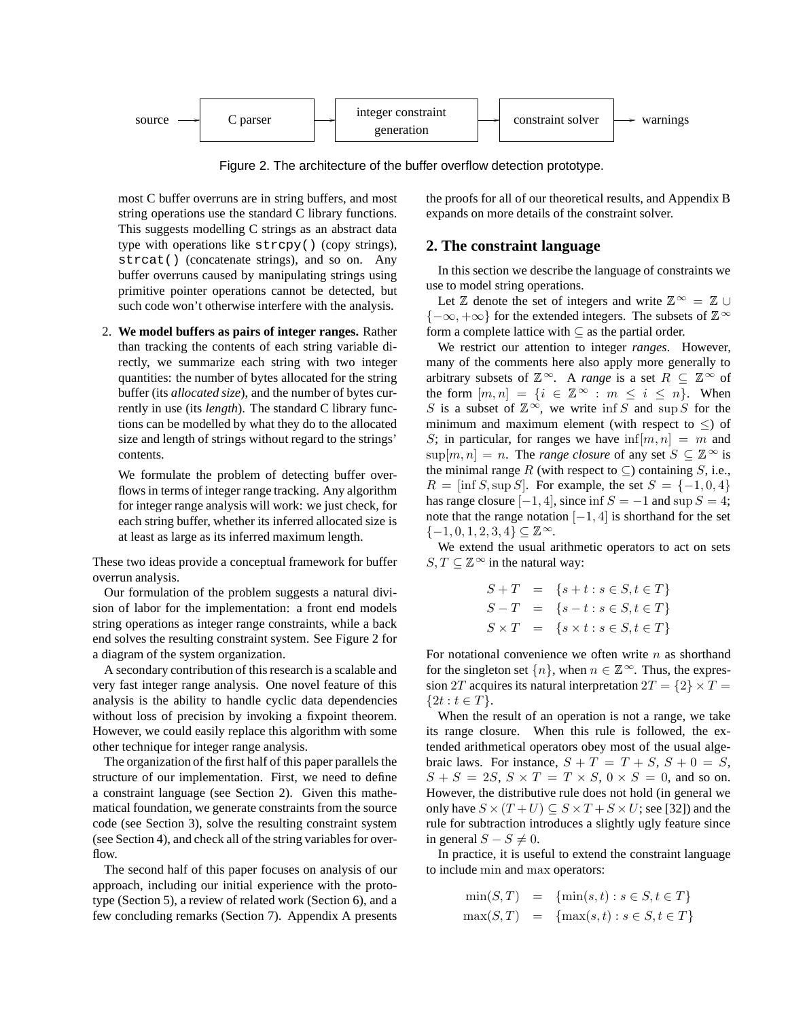

Figure 2. The architecture of the buffer overflow detection prototype.

most C buffer overruns are in string buffers, and most string operations use the standard C library functions. This suggests modelling C strings as an abstract data type with operations like strcpy() (copy strings), strcat() (concatenate strings), and so on. Any buffer overruns caused by manipulating strings using primitive pointer operations cannot be detected, but such code won't otherwise interfere with the analysis.

2. **We model buffers as pairs of integer ranges.** Rather than tracking the contents of each string variable directly, we summarize each string with two integer quantities: the number of bytes allocated for the string buffer (its *allocated size*), and the number of bytes currently in use (its *length*). The standard C library functions can be modelled by what they do to the allocated size and length of strings without regard to the strings' contents.

We formulate the problem of detecting buffer overflows in terms of integer range tracking. Any algorithm for integer range analysis will work: we just check, for each string buffer, whether its inferred allocated size is at least as large as its inferred maximum length.

These two ideas provide a conceptual framework for buffer overrun analysis.

Our formulation of the problem suggests a natural division of labor for the implementation: a front end models string operations as integer range constraints, while a back end solves the resulting constraint system. See Figure 2 for a diagram of the system organization.

A secondary contribution of this research is a scalable and very fast integer range analysis. One novel feature of this analysis is the ability to handle cyclic data dependencies without loss of precision by invoking a fixpoint theorem. However, we could easily replace this algorithm with some other technique for integer range analysis.

The organization of the first half of this paper parallels the structure of our implementation. First, we need to define a constraint language (see Section 2). Given this mathematical foundation, we generate constraints from the source code (see Section 3), solve the resulting constraint system (see Section 4), and check all of the string variables for overflow.

The second half of this paper focuses on analysis of our approach, including our initial experience with the prototype (Section 5), a review of related work (Section 6), and a few concluding remarks (Section 7). Appendix A presents

the proofs for all of our theoretical results, and Appendix B expands on more details of the constraint solver.

## **2. The constraint language**

In this section we describe the language of constraints we use to model string operations.

Let  $\mathbb{Z}$  denote the set of integers and write  $\mathbb{Z}^{\infty} = \mathbb{Z} \cup$  ${-\infty, +\infty}$  for the extended integers. The subsets of  $\mathbb{Z}^{\infty}$ form a complete lattice with  $\subseteq$  as the partial order.

We restrict our attention to integer *ranges*. However, many of the comments here also apply more generally to arbitrary subsets of  $\mathbb{Z}^{\infty}$ . A *range* is a set  $R \subseteq \mathbb{Z}^{\infty}$  of the form  $[m, n] = \{i \in \mathbb{Z}^{\infty} : m \le i \le n\}$ . When S is a subset of  $\mathbb{Z}^{\infty}$ , we write inf S and sup S for the minimum and maximum element (with respect to  $\leq$ ) of S; in particular, for ranges we have  $\inf[m, n] = m$  and  $\sup[m, n] = n$ . The *range closure* of any set  $S \subseteq \mathbb{Z}^{\infty}$  is the minimal range R (with respect to  $\subseteq$ ) containing S, i.e.,  $R = \left[\inf S, \sup S\right]$ . For example, the set  $S = \{-1, 0, 4\}$ has range closure  $[-1, 4]$ , since inf  $S = -1$  and sup  $S = 4$ ; note that the range notation  $[-1, 4]$  is shorthand for the set  $\{-1, 0, 1, 2, 3, 4\} \subseteq \mathbb{Z}^{\infty}$ .

We extend the usual arithmetic operators to act on sets  $S, T \subseteq \mathbb{Z}^{\infty}$  in the natural way:

$$
S + T = \{s + t : s \in S, t \in T\}
$$
  
\n
$$
S - T = \{s - t : s \in S, t \in T\}
$$
  
\n
$$
S \times T = \{s \times t : s \in S, t \in T\}
$$

For notational convenience we often write  $n$  as shorthand for the singleton set  $\{n\}$ , when  $n \in \mathbb{Z}^{\infty}$ . Thus, the expression 2T acquires its natural interpretation  $2T = \{2\} \times T =$  ${2t : t \in T}.$ 

When the result of an operation is not a range, we take its range closure. When this rule is followed, the extended arithmetical operators obey most of the usual algebraic laws. For instance,  $S + T = T + S$ ,  $S + 0 = S$ ,  $S + S = 2S$ ,  $S \times T = T \times S$ ,  $0 \times S = 0$ , and so on. However, the distributive rule does not hold (in general we only have  $S \times (T + U) \subseteq S \times T + S \times U$ ; see [32]) and the rule for subtraction introduces a slightly ugly feature since in general  $S - S \neq 0$ .

In practice, it is useful to extend the constraint language to include min and max operators:

$$
\begin{array}{rcl}\n\min(S, T) & = & \{\min(s, t) : s \in S, t \in T\} \\
\max(S, T) & = & \{\max(s, t) : s \in S, t \in T\}\n\end{array}
$$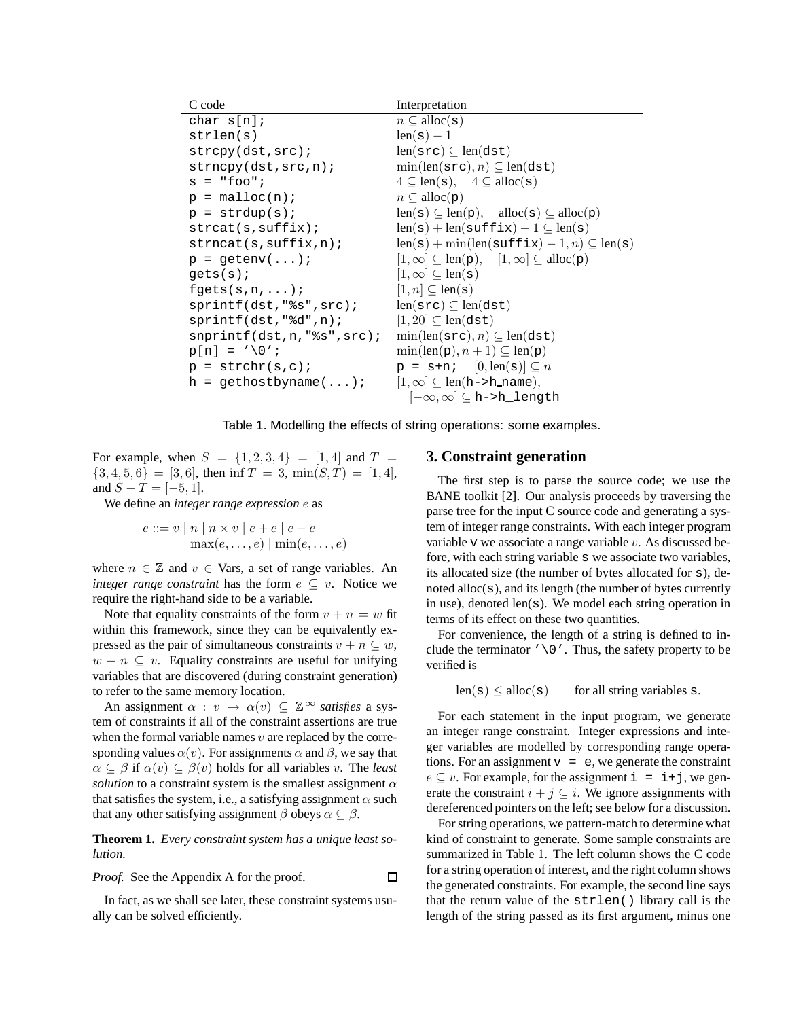| C code                               | Interpretation                                                                |  |
|--------------------------------------|-------------------------------------------------------------------------------|--|
| char $s[n]$ ;                        | $n \subset \text{alloc}(s)$                                                   |  |
| strlen(s)                            | $len(s) - 1$                                                                  |  |
| strcpy(dst,src);                     | $len(src) \subseteq len(dst)$                                                 |  |
| strong(dst, src, n);                 | $\min(\text{len}(\text{src}), n) \subseteq \text{len}(\text{dst})$            |  |
| $s = "foo"$                          | $4 \subseteq len(s), \quad 4 \subseteq alloc(s)$                              |  |
| $p = \text{malloc}(n)$ ;             | $n \subseteq \text{alloc}(p)$                                                 |  |
| $p = \text{strdup}(s)$               | $len(s) \subseteq len(p)$ , $alloc(s) \subseteq allocate(p)$                  |  |
| strcat(s, suffix):                   | $len(s) + len(suffix) - 1 \subseteq len(s)$                                   |  |
| strncat(s, suffix, n);               | $len(s) + min(len(suffix) - 1, n) \subseteq len(s)$                           |  |
| $p = getenv();$                      | $[1,\infty] \subseteq \text{len}(p)$ , $[1,\infty] \subseteq \text{alloc}(p)$ |  |
| qets(s);                             | $[1,\infty] \subseteq \text{len}(\mathbf{s})$                                 |  |
| $fgets(s, n, \ldots);$               | $[1, n] \subseteq \text{len}(\mathbf{s})$                                     |  |
| sprintf(dst, "ss", src);             | $len(src) \subseteq len(dst)$                                                 |  |
| $sprintf(dst,"$ %d",n);              | $[1, 20] \subseteq len(dst)$                                                  |  |
| $s$ nprintf $(dst, n, "s's", src)$ ; | $\min(\text{len}(\text{src}), n) \subseteq \text{len}(\text{dst})$            |  |
| $p[n] = ' \ 0'$                      | $\min(\text{len}(p), n+1) \subseteq \text{len}(p)$                            |  |
| $p = strchr(s, c)$ ;                 | $p = s+n$ ; $[0, len(s)] \subseteq n$                                         |  |
| $h = gethostbyname();$               | $[1,\infty] \subseteq \text{len}(h \rightarrow h \text{_name}),$              |  |
|                                      | $[-\infty,\infty]\subseteq$ h->h_length                                       |  |

Table 1. Modelling the effects of string operations: some examples.

 $\Box$ 

For example, when  $S = \{1, 2, 3, 4\} = [1, 4]$  and  $T =$  ${3, 4, 5, 6} = [3, 6]$ , then inf  $T = 3$ , min $(S, T) = [1, 4]$ , and  $S - T = [-5, 1]$ .

We define an *integer range expression* e as

$$
e ::= v | n | n \times v | e + e | e - e
$$
  
\n
$$
|\max(e, \dots, e)| \min(e, \dots, e)
$$

where  $n \in \mathbb{Z}$  and  $v \in$  Vars, a set of range variables. An *integer range constraint* has the form  $e \subseteq v$ . Notice we require the right-hand side to be a variable.

Note that equality constraints of the form  $v + n = w$  fit within this framework, since they can be equivalently expressed as the pair of simultaneous constraints  $v + n \subseteq w$ ,  $w - n \subseteq v$ . Equality constraints are useful for unifying variables that are discovered (during constraint generation) to refer to the same memory location.

An assignment  $\alpha : v \mapsto \alpha(v) \subseteq \mathbb{Z}^{\infty}$  *satisfies* a system of constraints if all of the constraint assertions are true when the formal variable names  $v$  are replaced by the corresponding values  $\alpha(v)$ . For assignments  $\alpha$  and  $\beta$ , we say that  $\alpha \subseteq \beta$  if  $\alpha(v) \subseteq \beta(v)$  holds for all variables v. The *least solution* to a constraint system is the smallest assignment  $\alpha$ that satisfies the system, i.e., a satisfying assignment  $\alpha$  such that any other satisfying assignment  $\beta$  obeys  $\alpha \subseteq \beta$ .

**Theorem 1.** *Every constraint system has a unique least solution.*

*Proof.* See the Appendix A for the proof.

In fact, as we shall see later, these constraint systems usually can be solved efficiently.

## **3. Constraint generation**

The first step is to parse the source code; we use the BANE toolkit [2]. Our analysis proceeds by traversing the parse tree for the input C source code and generating a system of integer range constraints. With each integer program variable  $v$  we associate a range variable  $v$ . As discussed before, with each string variable s we associate two variables, its allocated size (the number of bytes allocated for s), denoted alloc(s), and its length (the number of bytes currently in use), denoted len(s). We model each string operation in terms of its effect on these two quantities.

For convenience, the length of a string is defined to include the terminator  $\sqrt{0}$ . Thus, the safety property to be verified is

 $len(s) \leq alloc(s)$  for all string variables s.

For each statement in the input program, we generate an integer range constraint. Integer expressions and integer variables are modelled by corresponding range operations. For an assignment  $v = e$ , we generate the constraint  $e \subseteq v$ . For example, for the assignment  $i = i+j$ , we generate the constraint  $i + j \subseteq i$ . We ignore assignments with dereferenced pointers on the left; see below for a discussion.

For string operations, we pattern-match to determine what kind of constraint to generate. Some sample constraints are summarized in Table 1. The left column shows the C code for a string operation of interest, and the right column shows the generated constraints. For example, the second line says that the return value of the strlen() library call is the length of the string passed as its first argument, minus one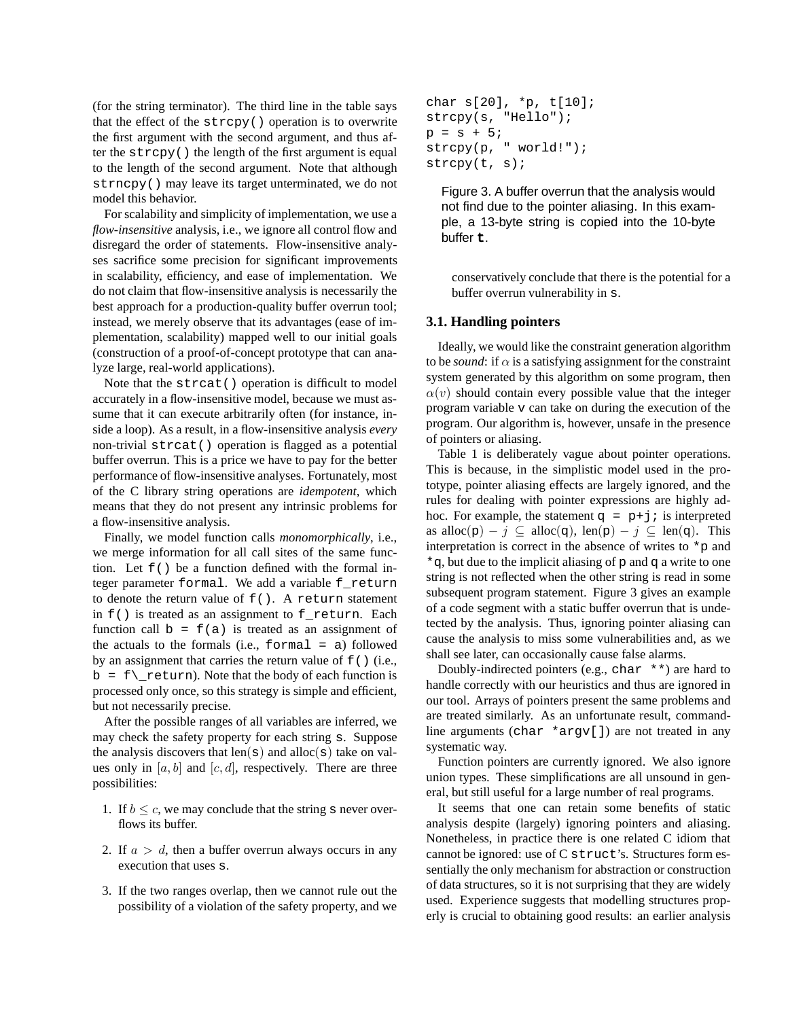(for the string terminator). The third line in the table says that the effect of the strcpy() operation is to overwrite the first argument with the second argument, and thus after the strcpy() the length of the first argument is equal to the length of the second argument. Note that although strncpy() may leave its target unterminated, we do not model this behavior.

For scalability and simplicity of implementation, we use a *flow-insensitive* analysis, i.e., we ignore all control flow and disregard the order of statements. Flow-insensitive analyses sacrifice some precision for significant improvements in scalability, efficiency, and ease of implementation. We do not claim that flow-insensitive analysis is necessarily the best approach for a production-quality buffer overrun tool; instead, we merely observe that its advantages (ease of implementation, scalability) mapped well to our initial goals (construction of a proof-of-concept prototype that can analyze large, real-world applications).

Note that the strcat() operation is difficult to model accurately in a flow-insensitive model, because we must assume that it can execute arbitrarily often (for instance, inside a loop). As a result, in a flow-insensitive analysis *every* non-trivial strcat() operation is flagged as a potential buffer overrun. This is a price we have to pay for the better performance of flow-insensitive analyses. Fortunately, most of the C library string operations are *idempotent*, which means that they do not present any intrinsic problems for a flow-insensitive analysis.

Finally, we model function calls *monomorphically*, i.e., we merge information for all call sites of the same function. Let  $f()$  be a function defined with the formal integer parameter formal. We add a variable f\_return to denote the return value of f(). A return statement in  $f()$  is treated as an assignment to  $f$  return. Each function call  $b = f(a)$  is treated as an assignment of the actuals to the formals (i.e.,  $formal = a$ ) followed by an assignment that carries the return value of  $f( )$  (i.e.,  $b = f(\text{return})$ . Note that the body of each function is processed only once, so this strategy is simple and efficient, but not necessarily precise.

After the possible ranges of all variables are inferred, we may check the safety property for each string s. Suppose the analysis discovers that  $len(s)$  and  $alloc(s)$  take on values only in  $[a, b]$  and  $[c, d]$ , respectively. There are three possibilities:

- 1. If  $b \leq c$ , we may conclude that the string s never overflows its buffer.
- 2. If  $a > d$ , then a buffer overrun always occurs in any execution that uses s.
- 3. If the two ranges overlap, then we cannot rule out the possibility of a violation of the safety property, and we

```
char s[20], *p, t[10];
strcpy(s, "Hello");
p = s + 5;strcpy(p, " world!");
strcpy(t, s);
```
Figure 3. A buffer overrun that the analysis would not find due to the pointer aliasing. In this example, a 13-byte string is copied into the 10-byte buffer t.

conservatively conclude that there is the potential for a buffer overrun vulnerability in s.

## **3.1. Handling pointers**

Ideally, we would like the constraint generation algorithm to be *sound*: if  $\alpha$  is a satisfying assignment for the constraint system generated by this algorithm on some program, then  $\alpha(v)$  should contain every possible value that the integer program variable v can take on during the execution of the program. Our algorithm is, however, unsafe in the presence of pointers or aliasing.

Table 1 is deliberately vague about pointer operations. This is because, in the simplistic model used in the prototype, pointer aliasing effects are largely ignored, and the rules for dealing with pointer expressions are highly adhoc. For example, the statement  $q = p+j$  is interpreted as alloc(p) – j  $\subseteq$  alloc(q), len(p) – j  $\subseteq$  len(q). This interpretation is correct in the absence of writes to  $\star_{\mathcal{P}}$  and \*q, but due to the implicit aliasing of p and q a write to one string is not reflected when the other string is read in some subsequent program statement. Figure 3 gives an example of a code segment with a static buffer overrun that is undetected by the analysis. Thus, ignoring pointer aliasing can cause the analysis to miss some vulnerabilities and, as we shall see later, can occasionally cause false alarms.

Doubly-indirected pointers (e.g., char  $**$ ) are hard to handle correctly with our heuristics and thus are ignored in our tool. Arrays of pointers present the same problems and are treated similarly. As an unfortunate result, commandline arguments (char \*argv[]) are not treated in any systematic way.

Function pointers are currently ignored. We also ignore union types. These simplifications are all unsound in general, but still useful for a large number of real programs.

It seems that one can retain some benefits of static analysis despite (largely) ignoring pointers and aliasing. Nonetheless, in practice there is one related C idiom that cannot be ignored: use of C struct's. Structures form essentially the only mechanism for abstraction or construction of data structures, so it is not surprising that they are widely used. Experience suggests that modelling structures properly is crucial to obtaining good results: an earlier analysis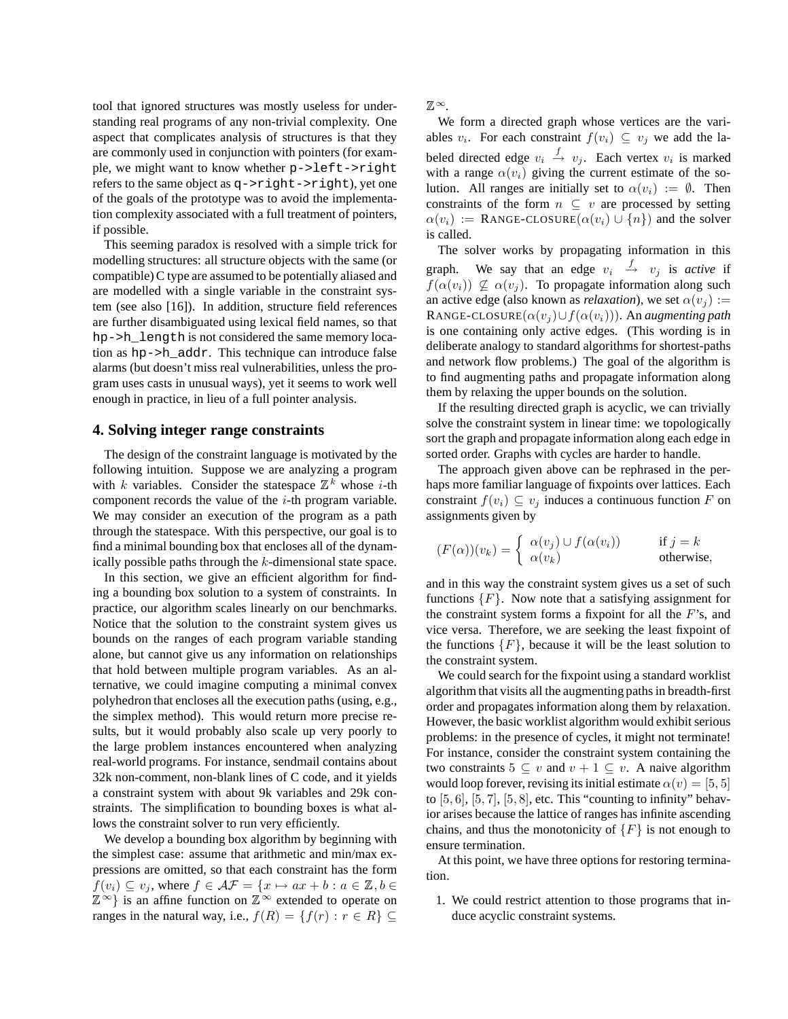tool that ignored structures was mostly useless for understanding real programs of any non-trivial complexity. One aspect that complicates analysis of structures is that they are commonly used in conjunction with pointers (for example, we might want to know whether p->left->right refers to the same object as q->right->right), yet one of the goals of the prototype was to avoid the implementation complexity associated with a full treatment of pointers, if possible.

This seeming paradox is resolved with a simple trick for modelling structures: all structure objects with the same (or compatible)C type are assumed to be potentially aliased and are modelled with a single variable in the constraint system (see also [16]). In addition, structure field references are further disambiguated using lexical field names, so that hp->h\_length is not considered the same memory location as hp->h\_addr. This technique can introduce false alarms (but doesn't miss real vulnerabilities, unless the program uses casts in unusual ways), yet it seems to work well enough in practice, in lieu of a full pointer analysis.

#### **4. Solving integer range constraints**

The design of the constraint language is motivated by the following intuition. Suppose we are analyzing a program with k variables. Consider the statespace  $\mathbb{Z}^k$  whose *i*-th component records the value of the  $i$ -th program variable. We may consider an execution of the program as a path through the statespace. With this perspective, our goal is to find a minimal bounding box that encloses all of the dynamically possible paths through the k-dimensional state space.

In this section, we give an efficient algorithm for finding a bounding box solution to a system of constraints. In practice, our algorithm scales linearly on our benchmarks. Notice that the solution to the constraint system gives us bounds on the ranges of each program variable standing alone, but cannot give us any information on relationships that hold between multiple program variables. As an alternative, we could imagine computing a minimal convex polyhedron that encloses all the execution paths (using, e.g., the simplex method). This would return more precise results, but it would probably also scale up very poorly to the large problem instances encountered when analyzing real-world programs. For instance, sendmail contains about 32k non-comment, non-blank lines of C code, and it yields a constraint system with about 9k variables and 29k constraints. The simplification to bounding boxes is what allows the constraint solver to run very efficiently.

We develop a bounding box algorithm by beginning with the simplest case: assume that arithmetic and min/max expressions are omitted, so that each constraint has the form  $f(v_i) \subseteq v_j$ , where  $f \in \mathcal{AF} = \{x \mapsto ax + b : a \in \mathbb{Z}, b \in \mathbb{Z}\}$  $\mathbb{Z}^{\infty}$  is an affine function on  $\mathbb{Z}^{\infty}$  extended to operate on ranges in the natural way, i.e.,  $f(R) = \{f(r) : r \in R\} \subseteq$ 

 $\mathbb{Z}^{\infty}$ .

We form a directed graph whose vertices are the variables  $v_i$ . For each constraint  $f(v_i) \subseteq v_j$  we add the labeled directed edge  $v_i \stackrel{f}{\rightarrow} v_j$ . Each vertex  $v_i$  is marked with a range  $\alpha(v_i)$  giving the current estimate of the solution. All ranges are initially set to  $\alpha(v_i) := \emptyset$ . Then constraints of the form  $n \subseteq v$  are processed by setting  $\alpha(v_i) :=$  RANGE-CLOSURE $(\alpha(v_i) \cup \{n\})$  and the solver is called.

The solver works by propagating information in this graph. We say that an edge  $v_i \stackrel{f}{\rightarrow} v_j$  is *active* if  $f(\alpha(v_i)) \nsubseteq \alpha(v_j)$ . To propagate information along such an active edge (also known as *relaxation*), we set  $\alpha(v_i)$  := RANGE-CLOSURE $(\alpha(v_i) \cup f(\alpha(v_i)))$ . An *augmenting path* is one containing only active edges. (This wording is in deliberate analogy to standard algorithms for shortest-paths and network flow problems.) The goal of the algorithm is to find augmenting paths and propagate information along them by relaxing the upper bounds on the solution.

If the resulting directed graph is acyclic, we can trivially solve the constraint system in linear time: we topologically sort the graph and propagate information along each edge in sorted order. Graphs with cycles are harder to handle.

The approach given above can be rephrased in the perhaps more familiar language of fixpoints over lattices. Each constraint  $f(v_i) \subseteq v_j$  induces a continuous function F on assignments given by

$$
(F(\alpha))(v_k) = \begin{cases} \alpha(v_j) \cup f(\alpha(v_i)) & \text{if } j = k \\ \alpha(v_k) & \text{otherwise,} \end{cases}
$$

and in this way the constraint system gives us a set of such functions  $\{F\}$ . Now note that a satisfying assignment for the constraint system forms a fixpoint for all the  $F$ 's, and vice versa. Therefore, we are seeking the least fixpoint of the functions  $\{F\}$ , because it will be the least solution to the constraint system.

We could search for the fixpoint using a standard worklist algorithm that visits all the augmenting pathsin breadth-first order and propagates information along them by relaxation. However, the basic worklist algorithm would exhibit serious problems: in the presence of cycles, it might not terminate! For instance, consider the constraint system containing the two constraints  $5 \subseteq v$  and  $v + 1 \subseteq v$ . A naive algorithm would loop forever, revising its initial estimate  $\alpha(v) = [5, 5]$ to  $[5, 6]$ ,  $[5, 7]$ ,  $[5, 8]$ , etc. This "counting to infinity" behavior arises because the lattice of ranges has infinite ascending chains, and thus the monotonicity of  $\{F\}$  is not enough to ensure termination.

At this point, we have three options for restoring termination.

1. We could restrict attention to those programs that induce acyclic constraint systems.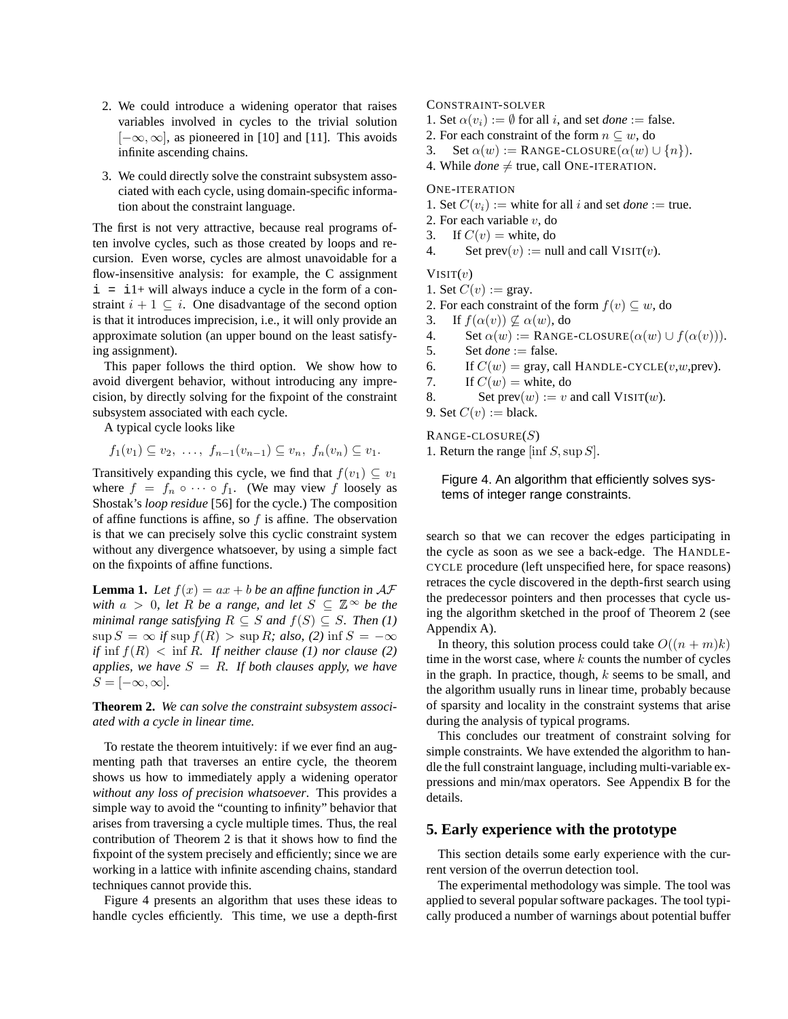- 2. We could introduce a widening operator that raises variables involved in cycles to the trivial solution  $[-\infty, \infty]$ , as pioneered in [10] and [11]. This avoids infinite ascending chains.
- 3. We could directly solve the constraint subsystem associated with each cycle, using domain-specific information about the constraint language.

The first is not very attractive, because real programs often involve cycles, such as those created by loops and recursion. Even worse, cycles are almost unavoidable for a flow-insensitive analysis: for example, the C assignment  $i = i1+$  will always induce a cycle in the form of a constraint  $i + 1 \subseteq i$ . One disadvantage of the second option is that it introduces imprecision, i.e., it will only provide an approximate solution (an upper bound on the least satisfying assignment).

This paper follows the third option. We show how to avoid divergent behavior, without introducing any imprecision, by directly solving for the fixpoint of the constraint subsystem associated with each cycle.

A typical cycle looks like

 $f_1(v_1) \subseteq v_2, \ldots, f_{n-1}(v_{n-1}) \subseteq v_n, f_n(v_n) \subseteq v_1.$ 

Transitively expanding this cycle, we find that  $f(v_1) \subseteq v_1$ where  $f = f_n \circ \cdots \circ f_1$ . (We may view f loosely as Shostak's *loop residue* [56] for the cycle.) The composition of affine functions is affine, so  $f$  is affine. The observation is that we can precisely solve this cyclic constraint system without any divergence whatsoever, by using a simple fact on the fixpoints of affine functions.

**Lemma 1.** Let  $f(x) = ax + b$  be an affine function in  $AF$ *with*  $a > 0$ , *let*  $R$  *be a range*, *and let*  $S \subseteq \mathbb{Z}^{\infty}$  *be the minimal range satisfying*  $R \subseteq S$  *and*  $f(S) \subseteq S$ *. Then* (1)  $\sup S = \infty$  *if*  $\sup f(R) > \sup R$ *; also,* (2)  $\inf S = -\infty$ *if*  $\inf f(R) < \inf R$ *. If neither clause* (1) *nor clause* (2) *applies, we have*  $S = R$ *. If both clauses apply, we have*  $S = [-\infty, \infty]$ .

**Theorem 2.** *We can solve the constraint subsystem associated with a cycle in linear time.*

To restate the theorem intuitively: if we ever find an augmenting path that traverses an entire cycle, the theorem shows us how to immediately apply a widening operator *without any loss of precision whatsoever*. This provides a simple way to avoid the "counting to infinity" behavior that arises from traversing a cycle multiple times. Thus, the real contribution of Theorem 2 is that it shows how to find the fixpoint of the system precisely and efficiently; since we are working in a lattice with infinite ascending chains, standard techniques cannot provide this.

Figure 4 presents an algorithm that uses these ideas to handle cycles efficiently. This time, we use a depth-first CONSTRAINT-SOLVER

1. Set  $\alpha(v_i) := \emptyset$  for all *i*, and set *done* := false.

- 2. For each constraint of the form  $n \subseteq w$ , do
- 3. Set  $\alpha(w) := \text{RANGE-CLOSURE}(\alpha(w) \cup \{n\}).$
- 4. While  $done \neq true$ , call ONE-ITERATION.

## ONE-ITERATION

1. Set  $C(v_i) :=$  white for all i and set *done* := true.

- 2. For each variable  $v$ , do
- 3. If  $C(v) =$  white, do

4. Set  $prev(v) := null$  and call  $VISIT(v)$ .

 $V\text{ISIT}(v)$ 

1. Set  $C(v) := \text{gray}.$ 

2. For each constraint of the form  $f(v) \subseteq w$ , do

3. If  $f(\alpha(v)) \nsubseteq \alpha(w)$ , do

- 4. Set  $\alpha(w) := \text{RANGE-CLOSURE}(\alpha(w) \cup f(\alpha(v))).$
- 5. Set  $done := false$ .
- 6. If  $C(w) = \text{gray}$ , call HANDLE-CYCLE(v,w,prev).
- 7. If  $C(w) =$  white, do

8. Set  $prev(w) := v$  and call  $VIST(w)$ .

9. Set  $C(v) := \text{black}$ .

 $\text{RANGE-CLOSURE}(S)$ 

1. Return the range [inf  $S$ , sup  $S$ ].

Figure 4. An algorithm that efficiently solves systems of integer range constraints.

search so that we can recover the edges participating in the cycle as soon as we see a back-edge. The HANDLE-CYCLE procedure (left unspecified here, for space reasons) retraces the cycle discovered in the depth-first search using the predecessor pointers and then processes that cycle using the algorithm sketched in the proof of Theorem 2 (see Appendix A).

In theory, this solution process could take  $O((n + m)k)$ time in the worst case, where  $k$  counts the number of cycles in the graph. In practice, though,  $k$  seems to be small, and the algorithm usually runs in linear time, probably because of sparsity and locality in the constraint systems that arise during the analysis of typical programs.

This concludes our treatment of constraint solving for simple constraints. We have extended the algorithm to handle the full constraint language, including multi-variable expressions and min/max operators. See Appendix B for the details.

# **5. Early experience with the prototype**

This section details some early experience with the current version of the overrun detection tool.

The experimental methodology was simple. The tool was applied to several popular software packages. The tool typically produced a number of warnings about potential buffer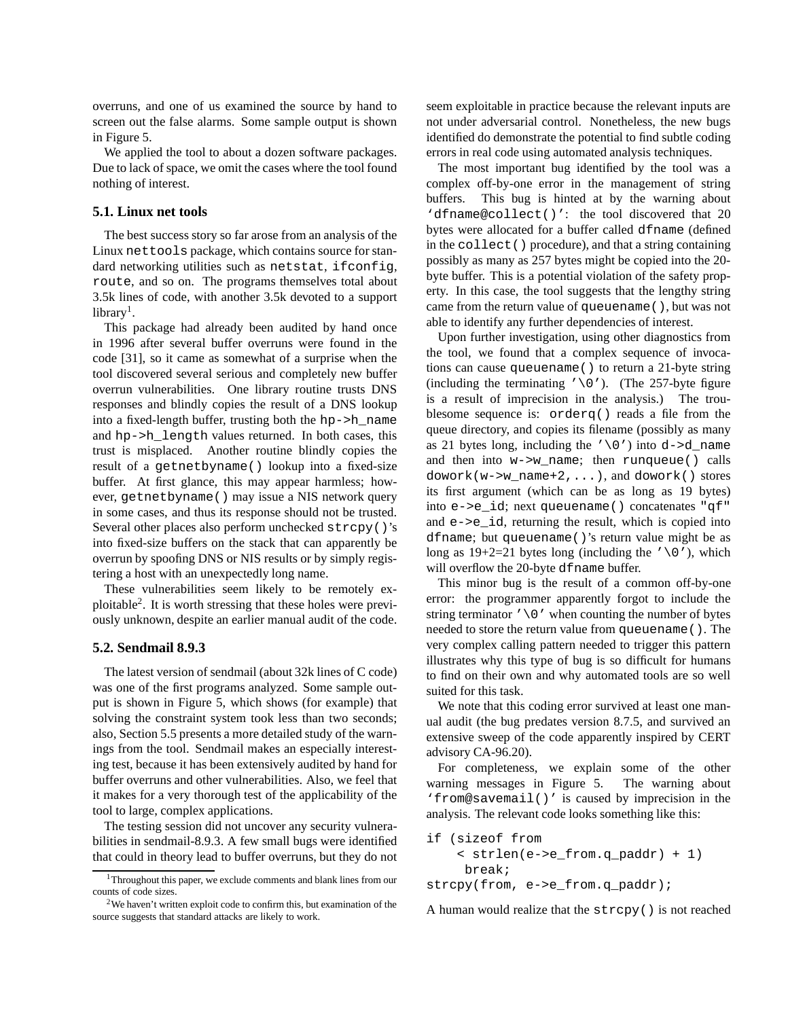overruns, and one of us examined the source by hand to screen out the false alarms. Some sample output is shown in Figure 5.

We applied the tool to about a dozen software packages. Due to lack of space, we omit the cases where the tool found nothing of interest.

#### **5.1. Linux net tools**

The best success story so far arose from an analysis of the Linux nettools package, which contains source for standard networking utilities such as netstat, ifconfig, route, and so on. The programs themselves total about 3.5k lines of code, with another 3.5k devoted to a support  $library<sup>1</sup>$ .

This package had already been audited by hand once in 1996 after several buffer overruns were found in the code [31], so it came as somewhat of a surprise when the tool discovered several serious and completely new buffer overrun vulnerabilities. One library routine trusts DNS responses and blindly copies the result of a DNS lookup into a fixed-length buffer, trusting both the hp->h\_name and hp->h\_length values returned. In both cases, this trust is misplaced. Another routine blindly copies the result of a getnetbyname() lookup into a fixed-size buffer. At first glance, this may appear harmless; however, getnetbyname() may issue a NIS network query in some cases, and thus its response should not be trusted. Several other places also perform unchecked strcpy()'s into fixed-size buffers on the stack that can apparently be overrun by spoofing DNS or NIS results or by simply registering a host with an unexpectedly long name.

These vulnerabilities seem likely to be remotely exploitable<sup>2</sup>. It is worth stressing that these holes were previously unknown, despite an earlier manual audit of the code.

#### **5.2. Sendmail 8.9.3**

The latest version of sendmail (about 32k lines of C code) was one of the first programs analyzed. Some sample output is shown in Figure 5, which shows (for example) that solving the constraint system took less than two seconds; also, Section 5.5 presents a more detailed study of the warnings from the tool. Sendmail makes an especially interesting test, because it has been extensively audited by hand for buffer overruns and other vulnerabilities. Also, we feel that it makes for a very thorough test of the applicability of the tool to large, complex applications.

The testing session did not uncover any security vulnerabilities in sendmail-8.9.3. A few small bugs were identified that could in theory lead to buffer overruns, but they do not seem exploitable in practice because the relevant inputs are not under adversarial control. Nonetheless, the new bugs identified do demonstrate the potential to find subtle coding errors in real code using automated analysis techniques.

The most important bug identified by the tool was a complex off-by-one error in the management of string buffers. This bug is hinted at by the warning about 'dfname@collect()': the tool discovered that 20 bytes were allocated for a buffer called dfname (defined in the collect() procedure), and that a string containing possibly as many as 257 bytes might be copied into the 20 byte buffer. This is a potential violation of the safety property. In this case, the tool suggests that the lengthy string came from the return value of queuename(), but was not able to identify any further dependencies of interest.

Upon further investigation, using other diagnostics from the tool, we found that a complex sequence of invocations can cause queuename() to return a 21-byte string (including the terminating ' $\setminus$ 0'). (The 257-byte figure is a result of imprecision in the analysis.) The troublesome sequence is: orderq() reads a file from the queue directory, and copies its filename (possibly as many as 21 bytes long, including the  $\sqrt{0'}$  into d->d\_name and then into w->w\_name; then runqueue() calls  $dowork(w->w_name+2,...),$  and  $dowork()$  stores its first argument (which can be as long as 19 bytes) into e->e\_id; next queuename() concatenates "qf" and e->e\_id, returning the result, which is copied into dfname; but queuename()'s return value might be as long as  $19+2=21$  bytes long (including the '\0'), which will overflow the 20-byte dfname buffer.

This minor bug is the result of a common off-by-one error: the programmer apparently forgot to include the string terminator  $\prime \setminus 0$  ' when counting the number of bytes needed to store the return value from queuename(). The very complex calling pattern needed to trigger this pattern illustrates why this type of bug is so difficult for humans to find on their own and why automated tools are so well suited for this task.

We note that this coding error survived at least one manual audit (the bug predates version 8.7.5, and survived an extensive sweep of the code apparently inspired by CERT advisory CA-96.20).

For completeness, we explain some of the other warning messages in Figure 5. The warning about 'from@savemail()' is caused by imprecision in the analysis. The relevant code looks something like this:

```
if (sizeof from
    < strlen(e->e_from.q_paddr) + 1)
     break;
```

```
strcpy(from, e->e_from.q_paddr);
```
A human would realize that the strcpy() is not reached

<sup>&</sup>lt;sup>1</sup>Throughout this paper, we exclude comments and blank lines from our counts of code sizes.

 $2$ We haven't written exploit code to confirm this, but examination of the source suggests that standard attacks are likely to work.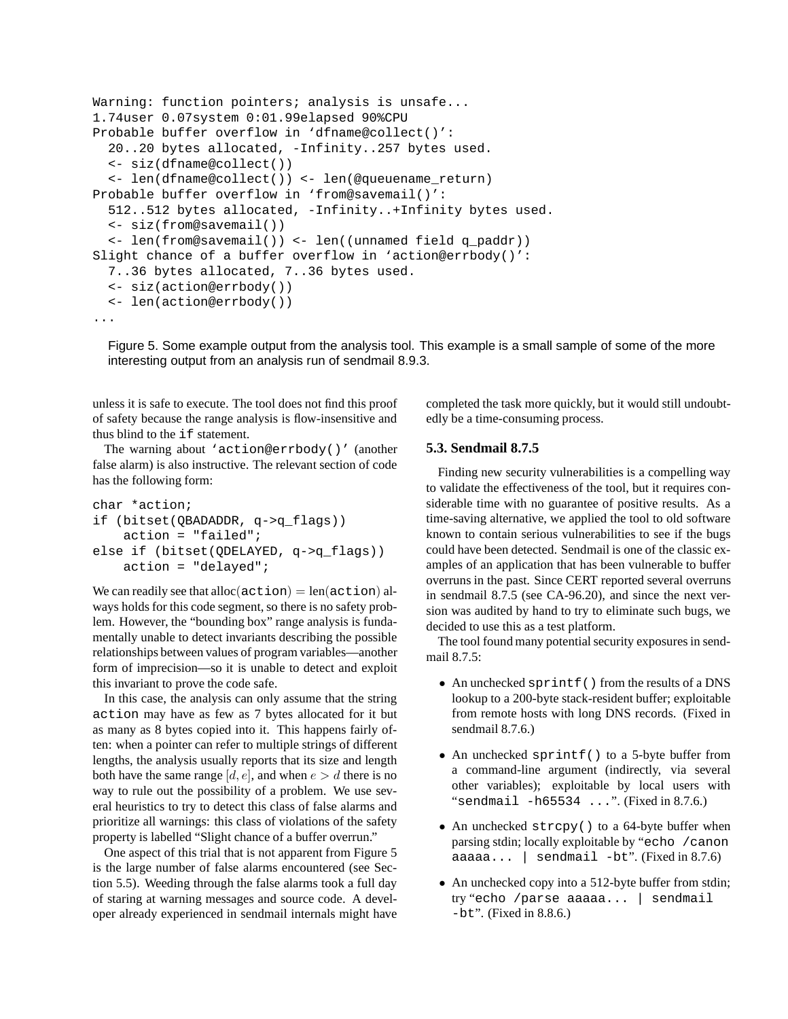```
Warning: function pointers; analysis is unsafe...
1.74user 0.07system 0:01.99elapsed 90%CPU
Probable buffer overflow in 'dfname@collect()':
  20..20 bytes allocated, -Infinity..257 bytes used.
  <- siz(dfname@collect())
  <- len(dfname@collect()) <- len(@queuename_return)
Probable buffer overflow in 'from@savemail()':
  512..512 bytes allocated, -Infinity..+Infinity bytes used.
  <- siz(from@savemail())
  <- len(from@savemail()) <- len((unnamed field q_paddr))
Slight chance of a buffer overflow in 'action@errbody()':
  7..36 bytes allocated, 7..36 bytes used.
  <- siz(action@errbody())
  <- len(action@errbody())
...
```
Figure 5. Some example output from the analysis tool. This example is a small sample of some of the more interesting output from an analysis run of sendmail 8.9.3.

unless it is safe to execute. The tool does not find this proof of safety because the range analysis is flow-insensitive and thus blind to the if statement.

The warning about 'action@errbody()' (another false alarm) is also instructive. The relevant section of code has the following form:

```
char *action;
if (bitset(QBADADDR, q->q_flags))
    action = "failed";
else if (bitset(QDELAYED, q->q_flags))
    action = "delayed";
```
We can readily see that alloc $(\text{action}) = \text{len}(\text{action})$  always holds for this code segment, so there is no safety problem. However, the "bounding box" range analysis is fundamentally unable to detect invariants describing the possible relationships between values of program variables—another form of imprecision—so it is unable to detect and exploit this invariant to prove the code safe.

In this case, the analysis can only assume that the string action may have as few as 7 bytes allocated for it but as many as 8 bytes copied into it. This happens fairly often: when a pointer can refer to multiple strings of different lengths, the analysis usually reports that its size and length both have the same range  $[d, e]$ , and when  $e > d$  there is no way to rule out the possibility of a problem. We use several heuristics to try to detect this class of false alarms and prioritize all warnings: this class of violations of the safety property is labelled "Slight chance of a buffer overrun."

One aspect of this trial that is not apparent from Figure 5 is the large number of false alarms encountered (see Section 5.5). Weeding through the false alarms took a full day of staring at warning messages and source code. A developer already experienced in sendmail internals might have completed the task more quickly, but it would still undoubtedly be a time-consuming process.

# **5.3. Sendmail 8.7.5**

Finding new security vulnerabilities is a compelling way to validate the effectiveness of the tool, but it requires considerable time with no guarantee of positive results. As a time-saving alternative, we applied the tool to old software known to contain serious vulnerabilities to see if the bugs could have been detected. Sendmail is one of the classic examples of an application that has been vulnerable to buffer overruns in the past. Since CERT reported several overruns in sendmail 8.7.5 (see CA-96.20), and since the next version was audited by hand to try to eliminate such bugs, we decided to use this as a test platform.

The tool found many potential security exposures in sendmail 8.7.5:

- An unchecked sprintf() from the results of a DNS lookup to a 200-byte stack-resident buffer; exploitable from remote hosts with long DNS records. (Fixed in sendmail 8.7.6.)
- An unchecked sprintf() to a 5-byte buffer from a command-line argument (indirectly, via several other variables); exploitable by local users with "sendmail -h65534 ...". (Fixed in 8.7.6.)
- An unchecked strcpy() to a 64-byte buffer when parsing stdin; locally exploitable by "echo /canon aaaaa...  $|$  sendmail -bt". (Fixed in 8.7.6)
- An unchecked copy into a 512-byte buffer from stdin; try "echo /parse aaaaa... | sendmail -bt". (Fixed in 8.8.6.)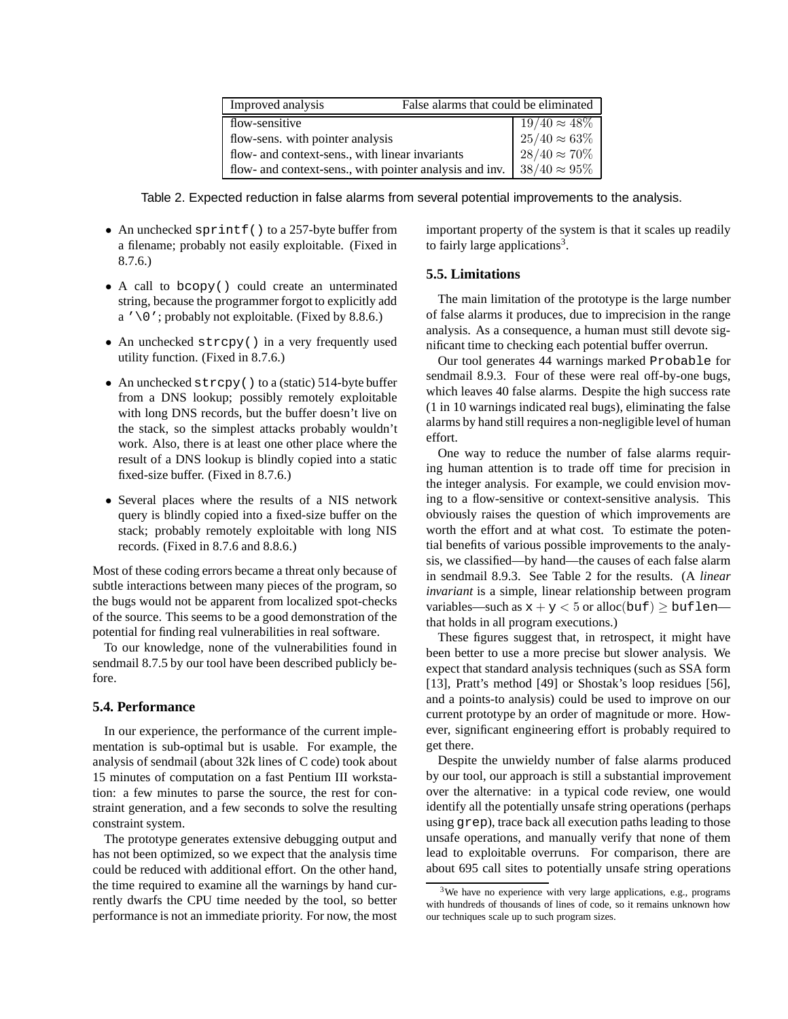| Improved analysis                                       | False alarms that could be eliminated |                                                 |
|---------------------------------------------------------|---------------------------------------|-------------------------------------------------|
| flow-sensitive                                          |                                       |                                                 |
| flow-sens. with pointer analysis                        |                                       | $\frac{19/40 \approx 48\%}{25/40 \approx 63\%}$ |
| flow- and context-sens., with linear invariants         |                                       | $28/40 \approx 70\%$                            |
| flow- and context-sens., with pointer analysis and inv. |                                       | $38/40 \approx 95\%$                            |

Table 2. Expected reduction in false alarms from several potential improvements to the analysis.

- An unchecked sprintf() to a 257-byte buffer from a filename; probably not easily exploitable. (Fixed in 8.7.6.)
- A call to bcopy() could create an unterminated string, because the programmer forgot to explicitly add a  $\prime \setminus 0$  '; probably not exploitable. (Fixed by 8.8.6.)
- An unchecked strcpy() in a very frequently used utility function. (Fixed in 8.7.6.)
- An unchecked strcpy() to a (static) 514-byte buffer from a DNS lookup; possibly remotely exploitable with long DNS records, but the buffer doesn't live on the stack, so the simplest attacks probably wouldn't work. Also, there is at least one other place where the result of a DNS lookup is blindly copied into a static fixed-size buffer. (Fixed in 8.7.6.)
- Several places where the results of a NIS network query is blindly copied into a fixed-size buffer on the stack; probably remotely exploitable with long NIS records. (Fixed in 8.7.6 and 8.8.6.)

Most of these coding errors became a threat only because of subtle interactions between many pieces of the program, so the bugs would not be apparent from localized spot-checks of the source. This seems to be a good demonstration of the potential for finding real vulnerabilities in real software.

To our knowledge, none of the vulnerabilities found in sendmail 8.7.5 by our tool have been described publicly before.

## **5.4. Performance**

In our experience, the performance of the current implementation is sub-optimal but is usable. For example, the analysis of sendmail (about 32k lines of C code) took about 15 minutes of computation on a fast Pentium III workstation: a few minutes to parse the source, the rest for constraint generation, and a few seconds to solve the resulting constraint system.

The prototype generates extensive debugging output and has not been optimized, so we expect that the analysis time could be reduced with additional effort. On the other hand, the time required to examine all the warnings by hand currently dwarfs the CPU time needed by the tool, so better performance is not an immediate priority. For now, the most important property of the system is that it scales up readily to fairly large applications<sup>3</sup>.

## **5.5. Limitations**

The main limitation of the prototype is the large number of false alarms it produces, due to imprecision in the range analysis. As a consequence, a human must still devote significant time to checking each potential buffer overrun.

Our tool generates 44 warnings marked Probable for sendmail 8.9.3. Four of these were real off-by-one bugs, which leaves 40 false alarms. Despite the high success rate (1 in 10 warnings indicated real bugs), eliminating the false alarms by hand still requires a non-negligible level of human effort.

One way to reduce the number of false alarms requiring human attention is to trade off time for precision in the integer analysis. For example, we could envision moving to a flow-sensitive or context-sensitive analysis. This obviously raises the question of which improvements are worth the effort and at what cost. To estimate the potential benefits of various possible improvements to the analysis, we classified—by hand—the causes of each false alarm in sendmail 8.9.3. See Table 2 for the results. (A *linear invariant* is a simple, linear relationship between program variables—such as  $x + y < 5$  or alloc(buf)  $\geq$  buflen that holds in all program executions.)

These figures suggest that, in retrospect, it might have been better to use a more precise but slower analysis. We expect that standard analysis techniques (such as SSA form [13], Pratt's method [49] or Shostak's loop residues [56], and a points-to analysis) could be used to improve on our current prototype by an order of magnitude or more. However, significant engineering effort is probably required to get there.

Despite the unwieldy number of false alarms produced by our tool, our approach is still a substantial improvement over the alternative: in a typical code review, one would identify all the potentially unsafe string operations (perhaps using grep), trace back all execution paths leading to those unsafe operations, and manually verify that none of them lead to exploitable overruns. For comparison, there are about 695 call sites to potentially unsafe string operations

<sup>&</sup>lt;sup>3</sup>We have no experience with very large applications, e.g., programs with hundreds of thousands of lines of code, so it remains unknown how our techniques scale up to such program sizes.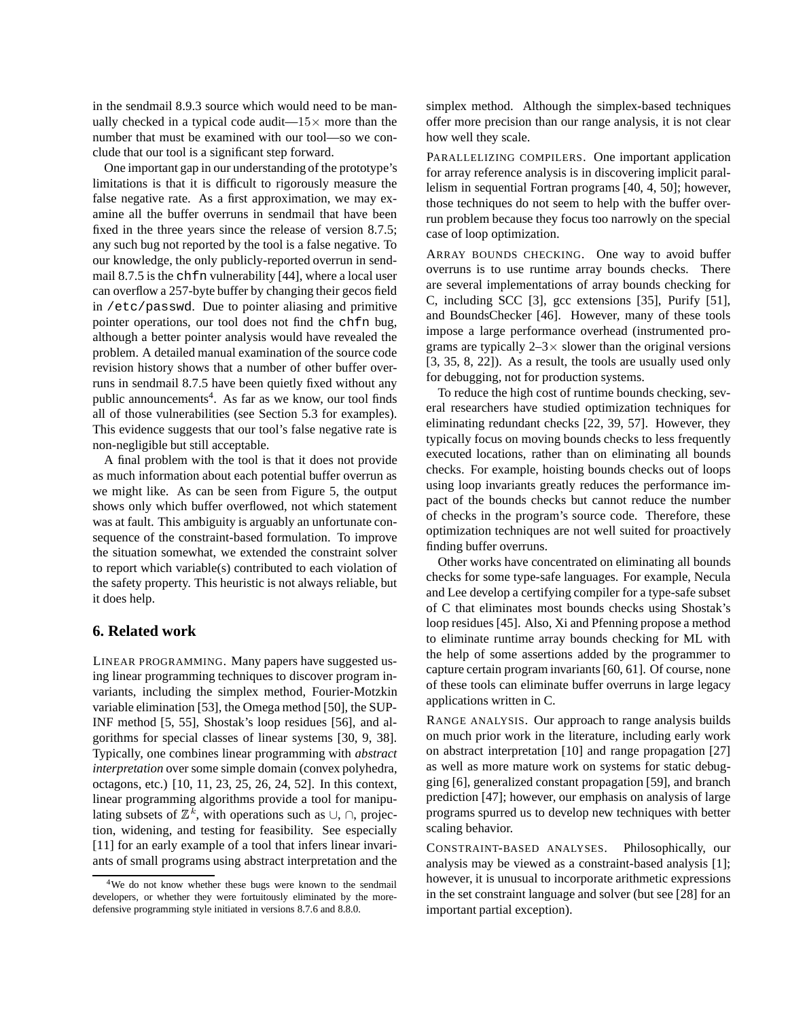in the sendmail 8.9.3 source which would need to be manually checked in a typical code audit— $15\times$  more than the number that must be examined with our tool—so we conclude that our tool is a significant step forward.

One important gap in our understanding of the prototype's limitations is that it is difficult to rigorously measure the false negative rate. As a first approximation, we may examine all the buffer overruns in sendmail that have been fixed in the three years since the release of version 8.7.5; any such bug not reported by the tool is a false negative. To our knowledge, the only publicly-reported overrun in sendmail 8.7.5 is the chfn vulnerability [44], where a local user can overflow a 257-byte buffer by changing their gecos field in /etc/passwd. Due to pointer aliasing and primitive pointer operations, our tool does not find the chfn bug, although a better pointer analysis would have revealed the problem. A detailed manual examination of the source code revision history shows that a number of other buffer overruns in sendmail 8.7.5 have been quietly fixed without any public announcements<sup>4</sup>. As far as we know, our tool finds all of those vulnerabilities (see Section 5.3 for examples). This evidence suggests that our tool's false negative rate is non-negligible but still acceptable.

A final problem with the tool is that it does not provide as much information about each potential buffer overrun as we might like. As can be seen from Figure 5, the output shows only which buffer overflowed, not which statement was at fault. This ambiguity is arguably an unfortunate consequence of the constraint-based formulation. To improve the situation somewhat, we extended the constraint solver to report which variable(s) contributed to each violation of the safety property. This heuristic is not always reliable, but it does help.

# **6. Related work**

LINEAR PROGRAMMING. Many papers have suggested using linear programming techniques to discover program invariants, including the simplex method, Fourier-Motzkin variable elimination [53], the Omega method [50], the SUP-INF method [5, 55], Shostak's loop residues [56], and algorithms for special classes of linear systems [30, 9, 38]. Typically, one combines linear programming with *abstract interpretation* over some simple domain (convex polyhedra, octagons, etc.) [10, 11, 23, 25, 26, 24, 52]. In this context, linear programming algorithms provide a tool for manipulating subsets of  $\mathbb{Z}^k$ , with operations such as  $\cup$ ,  $\cap$ , projection, widening, and testing for feasibility. See especially [11] for an early example of a tool that infers linear invariants of small programs using abstract interpretation and the simplex method. Although the simplex-based techniques offer more precision than our range analysis, it is not clear how well they scale.

PARALLELIZING COMPILERS. One important application for array reference analysis is in discovering implicit parallelism in sequential Fortran programs [40, 4, 50]; however, those techniques do not seem to help with the buffer overrun problem because they focus too narrowly on the special case of loop optimization.

ARRAY BOUNDS CHECKING. One way to avoid buffer overruns is to use runtime array bounds checks. There are several implementations of array bounds checking for C, including SCC [3], gcc extensions [35], Purify [51], and BoundsChecker [46]. However, many of these tools impose a large performance overhead (instrumented programs are typically  $2-3\times$  slower than the original versions [3, 35, 8, 22]). As a result, the tools are usually used only for debugging, not for production systems.

To reduce the high cost of runtime bounds checking, several researchers have studied optimization techniques for eliminating redundant checks [22, 39, 57]. However, they typically focus on moving bounds checks to less frequently executed locations, rather than on eliminating all bounds checks. For example, hoisting bounds checks out of loops using loop invariants greatly reduces the performance impact of the bounds checks but cannot reduce the number of checks in the program's source code. Therefore, these optimization techniques are not well suited for proactively finding buffer overruns.

Other works have concentrated on eliminating all bounds checks for some type-safe languages. For example, Necula and Lee develop a certifying compiler for a type-safe subset of C that eliminates most bounds checks using Shostak's loop residues [45]. Also, Xi and Pfenning propose a method to eliminate runtime array bounds checking for ML with the help of some assertions added by the programmer to capture certain program invariants [60, 61]. Of course, none of these tools can eliminate buffer overruns in large legacy applications written in C.

RANGE ANALYSIS. Our approach to range analysis builds on much prior work in the literature, including early work on abstract interpretation [10] and range propagation [27] as well as more mature work on systems for static debugging [6], generalized constant propagation [59], and branch prediction [47]; however, our emphasis on analysis of large programs spurred us to develop new techniques with better scaling behavior.

CONSTRAINT-BASED ANALYSES. Philosophically, our analysis may be viewed as a constraint-based analysis [1]; however, it is unusual to incorporate arithmetic expressions in the set constraint language and solver (but see [28] for an important partial exception).

<sup>4</sup>We do not know whether these bugs were known to the sendmail developers, or whether they were fortuitously eliminated by the moredefensive programming style initiated in versions 8.7.6 and 8.8.0.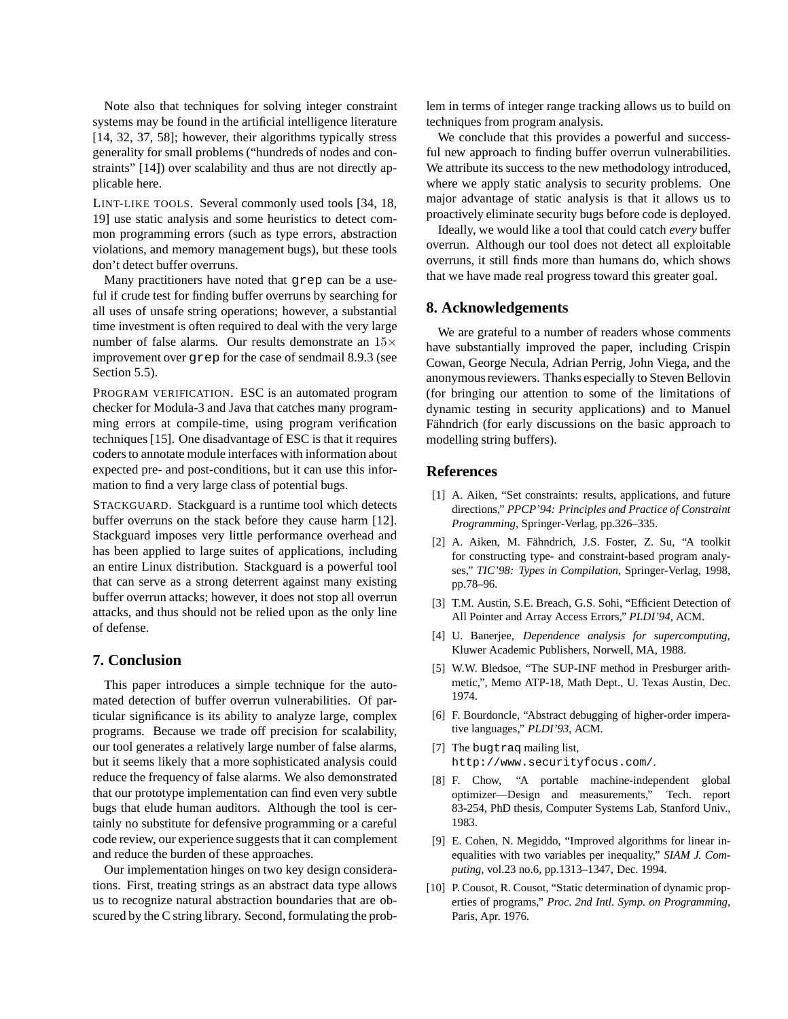Note also that techniques for solving integer constraint systems may be found in the artificial intelligence literature [14, 32, 37, 58]; however, their algorithms typically stress generality for small problems ("hundreds of nodes and constraints" [14]) over scalability and thus are not directly applicable here.

LINT-LIKE TOOLS. Several commonly used tools [34, 18, 19] use static analysis and some heuristics to detect common programming errors (such as type errors, abstraction violations, and memory management bugs), but these tools don't detect buffer overruns.

Many practitioners have noted that grep can be a useful if crude test for finding buffer overruns by searching for all uses of unsafe string operations; however, a substantial time investment is often required to deal with the very large number of false alarms. Our results demonstrate an 15× improvement over grep for the case of sendmail 8.9.3 (see Section 5.5).

PROGRAM VERIFICATION. ESC is an automated program checker for Modula-3 and Java that catches many programming errors at compile-time, using program verification techniques [15]. One disadvantage of ESC is that it requires coders to annotate module interfaces with information about expected pre- and post-conditions, but it can use this information to find a very large class of potential bugs.

STACKGUARD. Stackguard is a runtime tool which detects buffer overruns on the stack before they cause harm [12]. Stackguard imposes very little performance overhead and has been applied to large suites of applications, including an entire Linux distribution. Stackguard is a powerful tool that can serve as a strong deterrent against many existing buffer overrun attacks; however, it does not stop all overrun attacks, and thus should not be relied upon as the only line of defense.

# **7. Conclusion**

This paper introduces a simple technique for the automated detection of buffer overrun vulnerabilities. Of particular significance is its ability to analyze large, complex programs. Because we trade off precision for scalability, our tool generates a relatively large number of false alarms, but it seems likely that a more sophisticated analysis could reduce the frequency of false alarms. We also demonstrated that our prototype implementation can find even very subtle bugs that elude human auditors. Although the tool is certainly no substitute for defensive programming or a careful code review, our experience suggests that it can complement and reduce the burden of these approaches.

Our implementation hinges on two key design considerations. First, treating strings as an abstract data type allows us to recognize natural abstraction boundaries that are obscured by the C string library. Second, formulating the problem in terms of integer range tracking allows us to build on techniques from program analysis.

We conclude that this provides a powerful and successful new approach to finding buffer overrun vulnerabilities. We attribute its success to the new methodology introduced, where we apply static analysis to security problems. One major advantage of static analysis is that it allows us to proactively eliminate security bugs before code is deployed.

Ideally, we would like a tool that could catch *every* buffer overrun. Although our tool does not detect all exploitable overruns, it still finds more than humans do, which shows that we have made real progress toward this greater goal.

# **8. Acknowledgements**

We are grateful to a number of readers whose comments have substantially improved the paper, including Crispin Cowan, George Necula, Adrian Perrig, John Viega, and the anonymous reviewers. Thanks especially to Steven Bellovin (for bringing our attention to some of the limitations of dynamic testing in security applications) and to Manuel Fähndrich (for early discussions on the basic approach to modelling string buffers).

#### **References**

- [1] A. Aiken, "Set constraints: results, applications, and future directions," *PPCP'94: Principles and Practice of Constraint Programming*, Springer-Verlag, pp.326–335.
- [2] A. Aiken, M. Fähndrich, J.S. Foster, Z. Su, "A toolkit for constructing type- and constraint-based program analyses," *TIC'98: Types in Compilation*, Springer-Verlag, 1998, pp.78–96.
- [3] T.M. Austin, S.E. Breach, G.S. Sohi, "Efficient Detection of All Pointer and Array Access Errors," *PLDI'94*, ACM.
- [4] U. Banerjee, *Dependence analysis for supercomputing*, Kluwer Academic Publishers, Norwell, MA, 1988.
- [5] W.W. Bledsoe, "The SUP-INF method in Presburger arithmetic,", Memo ATP-18, Math Dept., U. Texas Austin, Dec. 1974.
- [6] F. Bourdoncle, "Abstract debugging of higher-order imperative languages," *PLDI'93*, ACM.
- [7] The bugtraq mailing list, http://www.securityfocus.com/.
- [8] F. Chow, "A portable machine-independent global optimizer—Design and measurements," Tech. report 83-254, PhD thesis, Computer Systems Lab, Stanford Univ., 1983.
- [9] E. Cohen, N. Megiddo, "Improved algorithms for linear inequalities with two variables per inequality," *SIAM J. Computing*, vol.23 no.6, pp.1313–1347, Dec. 1994.
- [10] P. Cousot, R. Cousot, "Static determination of dynamic properties of programs," *Proc. 2nd Intl. Symp. on Programming*, Paris, Apr. 1976.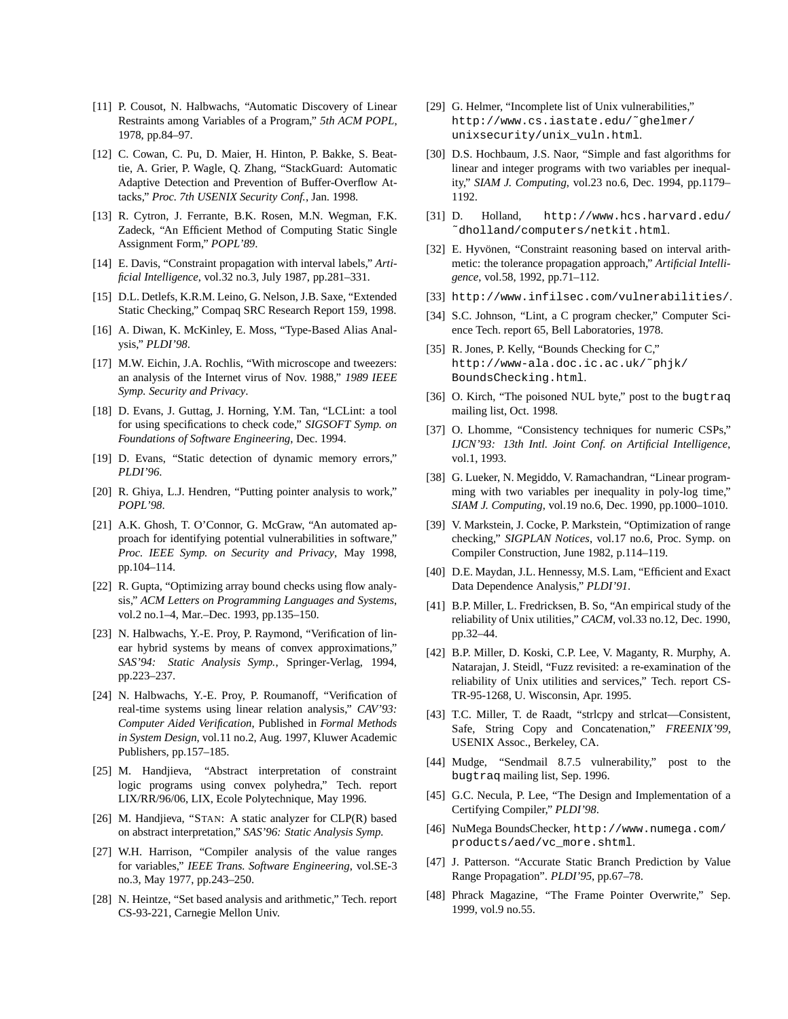- [11] P. Cousot, N. Halbwachs, "Automatic Discovery of Linear Restraints among Variables of a Program," *5th ACM POPL*, 1978, pp.84–97.
- [12] C. Cowan, C. Pu, D. Maier, H. Hinton, P. Bakke, S. Beattie, A. Grier, P. Wagle, Q. Zhang, "StackGuard: Automatic Adaptive Detection and Prevention of Buffer-Overflow Attacks," *Proc. 7th USENIX Security Conf.*, Jan. 1998.
- [13] R. Cytron, J. Ferrante, B.K. Rosen, M.N. Wegman, F.K. Zadeck, "An Efficient Method of Computing Static Single Assignment Form," *POPL'89*.
- [14] E. Davis, "Constraint propagation with interval labels," *Artificial Intelligence*, vol.32 no.3, July 1987, pp.281–331.
- [15] D.L. Detlefs, K.R.M. Leino, G. Nelson, J.B. Saxe, "Extended Static Checking," Compaq SRC Research Report 159, 1998.
- [16] A. Diwan, K. McKinley, E. Moss, "Type-Based Alias Analysis," *PLDI'98*.
- [17] M.W. Eichin, J.A. Rochlis, "With microscope and tweezers: an analysis of the Internet virus of Nov. 1988," *1989 IEEE Symp. Security and Privacy*.
- [18] D. Evans, J. Guttag, J. Horning, Y.M. Tan, "LCLint: a tool for using specifications to check code," *SIGSOFT Symp. on Foundations of Software Engineering*, Dec. 1994.
- [19] D. Evans, "Static detection of dynamic memory errors," *PLDI'96*.
- [20] R. Ghiya, L.J. Hendren, "Putting pointer analysis to work," *POPL'98*.
- [21] A.K. Ghosh, T. O'Connor, G. McGraw, "An automated approach for identifying potential vulnerabilities in software," *Proc. IEEE Symp. on Security and Privacy*, May 1998, pp.104–114.
- [22] R. Gupta, "Optimizing array bound checks using flow analysis," *ACM Letters on Programming Languages and Systems*, vol.2 no.1–4, Mar.–Dec. 1993, pp.135–150.
- [23] N. Halbwachs, Y.-E. Proy, P. Raymond, "Verification of linear hybrid systems by means of convex approximations," *SAS'94: Static Analysis Symp.*, Springer-Verlag, 1994, pp.223–237.
- [24] N. Halbwachs, Y.-E. Proy, P. Roumanoff, "Verification of real-time systems using linear relation analysis," *CAV'93: Computer Aided Verification*, Published in *Formal Methods in System Design*, vol.11 no.2, Aug. 1997, Kluwer Academic Publishers, pp.157–185.
- [25] M. Handjieva, "Abstract interpretation of constraint logic programs using convex polyhedra," Tech. report LIX/RR/96/06, LIX, Ecole Polytechnique, May 1996.
- [26] M. Handjieva, "STAN: A static analyzer for CLP(R) based on abstract interpretation," *SAS'96: Static Analysis Symp.*
- [27] W.H. Harrison, "Compiler analysis of the value ranges for variables," *IEEE Trans. Software Engineering*, vol.SE-3 no.3, May 1977, pp.243–250.
- [28] N. Heintze, "Set based analysis and arithmetic," Tech. report CS-93-221, Carnegie Mellon Univ.
- [29] G. Helmer, "Incomplete list of Unix vulnerabilities," http://www.cs.iastate.edu/˜ghelmer/ unixsecurity/unix\_vuln.html.
- [30] D.S. Hochbaum, J.S. Naor, "Simple and fast algorithms for linear and integer programs with two variables per inequality," *SIAM J. Computing*, vol.23 no.6, Dec. 1994, pp.1179– 1192.
- [31] D. Holland, http://www.hcs.harvard.edu/ ˜dholland/computers/netkit.html.
- [32] E. Hyvönen, "Constraint reasoning based on interval arithmetic: the tolerance propagation approach," *Artificial Intelligence*, vol.58, 1992, pp.71–112.
- [33] http://www.infilsec.com/vulnerabilities/.
- [34] S.C. Johnson, "Lint, a C program checker," Computer Science Tech. report 65, Bell Laboratories, 1978.
- [35] R. Jones, P. Kelly, "Bounds Checking for C," http://www-ala.doc.ic.ac.uk/˜phjk/ BoundsChecking.html.
- [36] O. Kirch, "The poisoned NUL byte," post to the bugtraq mailing list, Oct. 1998.
- [37] O. Lhomme, "Consistency techniques for numeric CSPs," *IJCN'93: 13th Intl. Joint Conf. on Artificial Intelligence*, vol.1, 1993.
- [38] G. Lueker, N. Megiddo, V. Ramachandran, "Linear programming with two variables per inequality in poly-log time," *SIAM J. Computing*, vol.19 no.6, Dec. 1990, pp.1000–1010.
- [39] V. Markstein, J. Cocke, P. Markstein, "Optimization of range checking," *SIGPLAN Notices*, vol.17 no.6, Proc. Symp. on Compiler Construction, June 1982, p.114–119.
- [40] D.E. Maydan, J.L. Hennessy, M.S. Lam, "Efficient and Exact Data Dependence Analysis," *PLDI'91*.
- [41] B.P. Miller, L. Fredricksen, B. So, "An empirical study of the reliability of Unix utilities," *CACM*, vol.33 no.12, Dec. 1990, pp.32–44.
- [42] B.P. Miller, D. Koski, C.P. Lee, V. Maganty, R. Murphy, A. Natarajan, J. Steidl, "Fuzz revisited: a re-examination of the reliability of Unix utilities and services," Tech. report CS-TR-95-1268, U. Wisconsin, Apr. 1995.
- [43] T.C. Miller, T. de Raadt, "strlcpy and strlcat—Consistent, Safe, String Copy and Concatenation," *FREENIX'99*, USENIX Assoc., Berkeley, CA.
- [44] Mudge, "Sendmail 8.7.5 vulnerability," post to the bugtraq mailing list, Sep. 1996.
- [45] G.C. Necula, P. Lee, "The Design and Implementation of a Certifying Compiler," *PLDI'98*.
- [46] NuMega BoundsChecker, http://www.numega.com/ products/aed/vc\_more.shtml.
- [47] J. Patterson. "Accurate Static Branch Prediction by Value Range Propagation". *PLDI'95*, pp.67–78.
- [48] Phrack Magazine, "The Frame Pointer Overwrite," Sep. 1999, vol.9 no.55.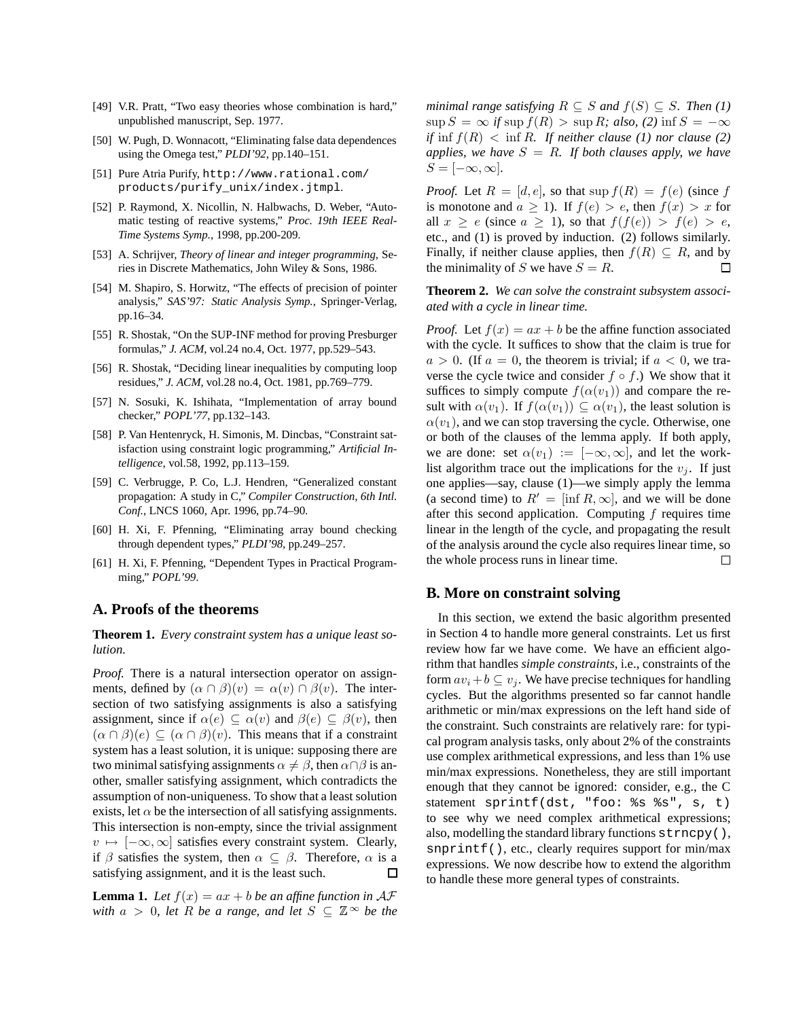- [49] V.R. Pratt, "Two easy theories whose combination is hard," unpublished manuscript, Sep. 1977.
- [50] W. Pugh, D. Wonnacott, "Eliminating false data dependences using the Omega test," *PLDI'92*, pp.140–151.
- [51] Pure Atria Purify, http://www.rational.com/ products/purify\_unix/index.jtmpl.
- [52] P. Raymond, X. Nicollin, N. Halbwachs, D. Weber, "Automatic testing of reactive systems," *Proc. 19th IEEE Real-Time Systems Symp.*, 1998, pp.200-209.
- [53] A. Schrijver, *Theory of linear and integer programming*, Series in Discrete Mathematics, John Wiley & Sons, 1986.
- [54] M. Shapiro, S. Horwitz, "The effects of precision of pointer analysis," *SAS'97: Static Analysis Symp.*, Springer-Verlag, pp.16–34.
- [55] R. Shostak, "On the SUP-INF method for proving Presburger formulas," *J. ACM*, vol.24 no.4, Oct. 1977, pp.529–543.
- [56] R. Shostak, "Deciding linear inequalities by computing loop residues," *J. ACM*, vol.28 no.4, Oct. 1981, pp.769–779.
- [57] N. Sosuki, K. Ishihata, "Implementation of array bound checker," *POPL'77*, pp.132–143.
- [58] P. Van Hentenryck, H. Simonis, M. Dincbas, "Constraint satisfaction using constraint logic programming," *Artificial Intelligence*, vol.58, 1992, pp.113–159.
- [59] C. Verbrugge, P. Co, L.J. Hendren, "Generalized constant propagation: A study in C," *Compiler Construction, 6th Intl. Conf.*, LNCS 1060, Apr. 1996, pp.74–90.
- [60] H. Xi, F. Pfenning, "Eliminating array bound checking through dependent types," *PLDI'98*, pp.249–257.
- [61] H. Xi, F. Pfenning, "Dependent Types in Practical Programming," *POPL'99*.

# **A. Proofs of the theorems**

**Theorem 1.** *Every constraint system has a unique least solution.*

*Proof.* There is a natural intersection operator on assignments, defined by  $(\alpha \cap \beta)(v) = \alpha(v) \cap \beta(v)$ . The intersection of two satisfying assignments is also a satisfying assignment, since if  $\alpha(e) \subseteq \alpha(v)$  and  $\beta(e) \subseteq \beta(v)$ , then  $(\alpha \cap \beta)(e) \subseteq (\alpha \cap \beta)(v)$ . This means that if a constraint system has a least solution, it is unique: supposing there are two minimal satisfying assignments  $\alpha \neq \beta$ , then  $\alpha \cap \beta$  is another, smaller satisfying assignment, which contradicts the assumption of non-uniqueness. To show that a least solution exists, let  $\alpha$  be the intersection of all satisfying assignments. This intersection is non-empty, since the trivial assignment  $v \mapsto [-\infty, \infty]$  satisfies every constraint system. Clearly, if  $\beta$  satisfies the system, then  $\alpha \subseteq \beta$ . Therefore,  $\alpha$  is a satisfying assignment, and it is the least such. 口

**Lemma 1.** Let  $f(x) = ax + b$  be an affine function in  $AF$ *with*  $a > 0$ , *let*  $R$  *be a range*, *and let*  $S \subseteq \mathbb{Z}^{\infty}$  *be the* 

*minimal range satisfying*  $R \subseteq S$  *and*  $f(S) \subseteq S$ *. Then* (1)  $\sup S = \infty$  *if*  $\sup f(R) > \sup R$ *; also,* (2)  $\inf S = -\infty$ *if* inf  $f(R) < \inf R$ . *If neither clause* (1) *nor clause* (2) *applies, we have*  $S = R$ *. If both clauses apply, we have*  $S = [-\infty, \infty]$ .

*Proof.* Let  $R = [d, e]$ , so that sup  $f(R) = f(e)$  (since f is monotone and  $a \ge 1$ ). If  $f(e) > e$ , then  $f(x) > x$  for all  $x \ge e$  (since  $a \ge 1$ ), so that  $f(f(e)) > f(e) > e$ , etc., and (1) is proved by induction. (2) follows similarly. Finally, if neither clause applies, then  $f(R) \subseteq R$ , and by the minimality of S we have  $S = R$ . 口

**Theorem 2.** *We can solve the constraint subsystem associated with a cycle in linear time.*

*Proof.* Let  $f(x) = ax + b$  be the affine function associated with the cycle. It suffices to show that the claim is true for  $a > 0$ . (If  $a = 0$ , the theorem is trivial; if  $a < 0$ , we traverse the cycle twice and consider  $f \circ f$ .) We show that it suffices to simply compute  $f(\alpha(v_1))$  and compare the result with  $\alpha(v_1)$ . If  $f(\alpha(v_1)) \subseteq \alpha(v_1)$ , the least solution is  $\alpha(v_1)$ , and we can stop traversing the cycle. Otherwise, one or both of the clauses of the lemma apply. If both apply, we are done: set  $\alpha(v_1) := [-\infty, \infty]$ , and let the worklist algorithm trace out the implications for the  $v_i$ . If just one applies—say, clause (1)—we simply apply the lemma (a second time) to  $R' = [\inf R, \infty]$ , and we will be done after this second application. Computing  $f$  requires time linear in the length of the cycle, and propagating the result of the analysis around the cycle also requires linear time, so the whole process runs in linear time.  $\Box$ 

## **B. More on constraint solving**

In this section, we extend the basic algorithm presented in Section 4 to handle more general constraints. Let us first review how far we have come. We have an efficient algorithm that handles *simple constraints*, i.e., constraints of the form  $av_i + b \subseteq v_j$ . We have precise techniques for handling cycles. But the algorithms presented so far cannot handle arithmetic or min/max expressions on the left hand side of the constraint. Such constraints are relatively rare: for typical program analysis tasks, only about 2% of the constraints use complex arithmetical expressions, and less than 1% use min/max expressions. Nonetheless, they are still important enough that they cannot be ignored: consider, e.g., the C statement sprintf(dst, "foo: %s %s", s, t) to see why we need complex arithmetical expressions; also, modelling the standard library functions strncpy(), snprintf(), etc., clearly requires support for min/max expressions. We now describe how to extend the algorithm to handle these more general types of constraints.